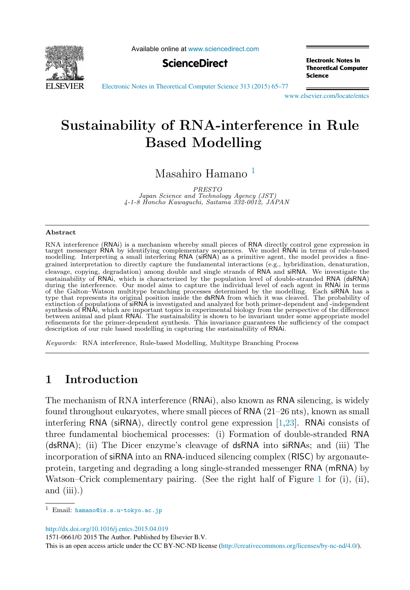<span id="page-0-0"></span>

Available online at [www.sciencedirect.com](http://www.sciencedirect.com)



**Electronic Notes in Theoretical Computer** Science

[Electronic Notes in Theoretical Computer Science 313 \(2015\) 65–77](http://dx.doi.org/10.1016/j.entcs.2015.04.019)

[www.elsevier.com/locate/entcs](http://www.elsevier.com/locate/entcs)

# **Sustainability of RNA-interference in Rule Based Modelling**

Masahiro Hamano <sup>1</sup>

PRESTO<br>Japan Science and Technology Agency (JST) 4-1-8 Honcho Kawaguchi, Saitama 332-0012, JAPAN

#### **Abstract**

RNA interference (RNAi) is a mechanism whereby small pieces of RNA directly control gene expression in target messenger RNA by identifying complementary sequences. We model RNAi in terms of rule-based modelling. Interpreting a small interfering RNA (siRNA) as a primitive agent, the model provides a finegrained interpretation to directly capture the fundamental interactions (e.g., hybridization, denaturation, cleavage, copying, degradation) among double and single strands of RNA and siRNA. We investigate the sustainability of RNAi, which is characterized by the population level of double-stranded RNA (dsRNA) during the interference. Our model aims to capture the individual level of each agent in RNAi in terms of the Galton-Watson multitype branching processes determined by the modelling. Each siRNA has a<br>type that represents its original position inside the dsRNA from which it was cleaved. The probability of<br>extinction of popul synthesis of RNAi, which are important topics in experimental biology from the perspective of the difference between animal and plant RNAi. The sustainability is shown to be invariant under some appropriate model refinements for the primer-dependent synthesis. This invariance guarantees the sufficiency of the compact description of our rule based modelling in capturing the sustainability of RNAi.

Keywords: RNA interference, Rule-based Modelling, Multitype Branching Process

## **1 Introduction**

The mechanism of RNA interference (RNAi), also known as RNA silencing, is widely found throughout eukaryotes, where small pieces of RNA (21–26 nts), known as small interfering RNA (siRNA), directly control gene expression [\[1](#page-11-0)[,23\]](#page-12-0). RNAi consists of three fundamental biochemical processes: (i) Formation of double-stranded RNA (dsRNA); (ii) The Dicer enzyme's cleavage of dsRNA into siRNAs; and (iii) The incorporation of siRNA into an RNA-induced silencing complex (RISC) by argonauteprotein, targeting and degrading a long single-stranded messenger RNA (mRNA) by Watson–Crick complementary pairing. (See the right half of Figure [1](#page-1-0) for (i), (ii), and (iii).)

<http://dx.doi.org/10.1016/j.entcs.2015.04.019>

1571-0661/© 2015 The Author. Published by Elsevier B.V.

This is an open access article under the CC BY-NC-ND license [\(http://creativecommons.org/licenses/by-nc-nd/4.0/](http://creativecommons.org/licenses/by-nc-nd/4.0/)).

<sup>1</sup> Email: [hamano@is.s.u-tokyo.ac.jp](mailto: hamano@is.s.u-tokyo.ac.jp)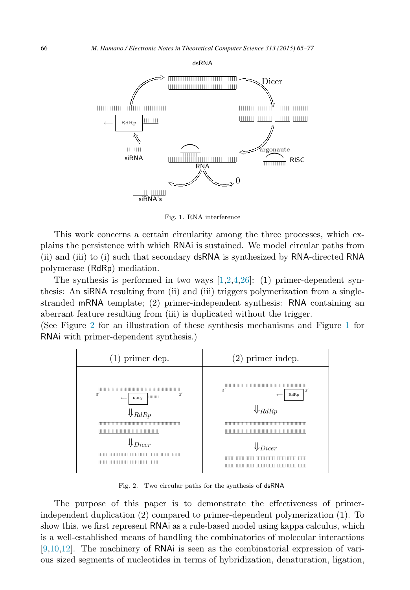<span id="page-1-0"></span>

Fig. 1. RNA interference

This work concerns a certain circularity among the three processes, which explains the persistence with which RNAi is sustained. We model circular paths from (ii) and (iii) to (i) such that secondary dsRNA is synthesized by RNA-directed RNA polymerase (RdRp) mediation.

The synthesis is performed in two ways  $[1,2,4,26]$  $[1,2,4,26]$ : (1) primer-dependent synthesis: An siRNA resulting from (ii) and (iii) triggers polymerization from a singlestranded mRNA template; (2) primer-independent synthesis: RNA containing an aberrant feature resulting from (iii) is duplicated without the trigger.

(See Figure 2 for an illustration of these synthesis mechanisms and Figure 1 for RNAi with primer-dependent synthesis.)



Fig. 2. Two circular paths for the synthesis of dsRNA

The purpose of this paper is to demonstrate the effectiveness of primerindependent duplication (2) compared to primer-dependent polymerization (1). To show this, we first represent RNAi as a rule-based model using kappa calculus, which is a well-established means of handling the combinatorics of molecular interactions [\[9,10,12\]](#page-11-0). The machinery of RNAi is seen as the combinatorial expression of various sized segments of nucleotides in terms of hybridization, denaturation, ligation,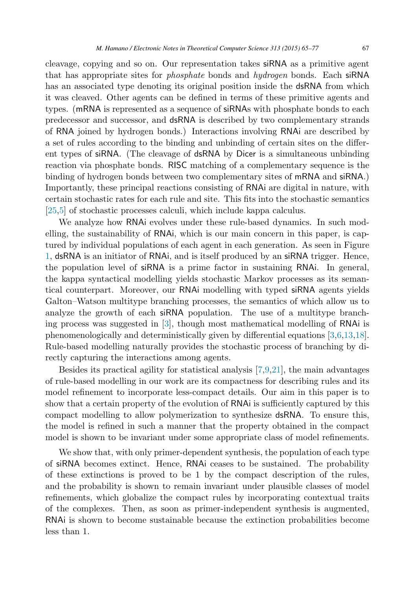cleavage, copying and so on. Our representation takes siRNA as a primitive agent that has appropriate sites for *phosphate* bonds and *hydrogen* bonds. Each siRNA has an associated type denoting its original position inside the dsRNA from which it was cleaved. Other agents can be defined in terms of these primitive agents and types. (mRNA is represented as a sequence of siRNAs with phosphate bonds to each predecessor and successor, and dsRNA is described by two complementary strands of RNA joined by hydrogen bonds.) Interactions involving RNAi are described by a set of rules according to the binding and unbinding of certain sites on the different types of siRNA. (The cleavage of dsRNA by Dicer is a simultaneous unbinding reaction via phosphate bonds. RISC matching of a complementary sequence is the binding of hydrogen bonds between two complementary sites of mRNA and siRNA.) Importantly, these principal reactions consisting of RNAi are digital in nature, with certain stochastic rates for each rule and site. This fits into the stochastic semantics [\[25,](#page-12-0)[5\]](#page-11-0) of stochastic processes calculi, which include kappa calculus.

We analyze how RNAi evolves under these rule-based dynamics. In such modelling, the sustainability of RNAi, which is our main concern in this paper, is captured by individual populations of each agent in each generation. As seen in Figure [1,](#page-1-0) dsRNA is an initiator of RNAi, and is itself produced by an siRNA trigger. Hence, the population level of siRNA is a prime factor in sustaining RNAi. In general, the kappa syntactical modelling yields stochastic Markov processes as its semantical counterpart. Moreover, our RNAi modelling with typed siRNA agents yields Galton–Watson multitype branching processes, the semantics of which allow us to analyze the growth of each siRNA population. The use of a multitype branching process was suggested in [\[3\]](#page-11-0), though most mathematical modelling of RNAi is phenomenologically and deterministically given by differential equations [\[3,6,13,](#page-11-0)[18\]](#page-12-0). Rule-based modelling naturally provides the stochastic process of branching by directly capturing the interactions among agents.

Besides its practical agility for statistical analysis [\[7,9,](#page-11-0)[21\]](#page-12-0), the main advantages of rule-based modelling in our work are its compactness for describing rules and its model refinement to incorporate less-compact details. Our aim in this paper is to show that a certain property of the evolution of RNAi is sufficiently captured by this compact modelling to allow polymerization to synthesize dsRNA. To ensure this, the model is refined in such a manner that the property obtained in the compact model is shown to be invariant under some appropriate class of model refinements.

We show that, with only primer-dependent synthesis, the population of each type of siRNA becomes extinct. Hence, RNAi ceases to be sustained. The probability of these extinctions is proved to be 1 by the compact description of the rules, and the probability is shown to remain invariant under plausible classes of model refinements, which globalize the compact rules by incorporating contextual traits of the complexes. Then, as soon as primer-independent synthesis is augmented, RNAi is shown to become sustainable because the extinction probabilities become less than 1.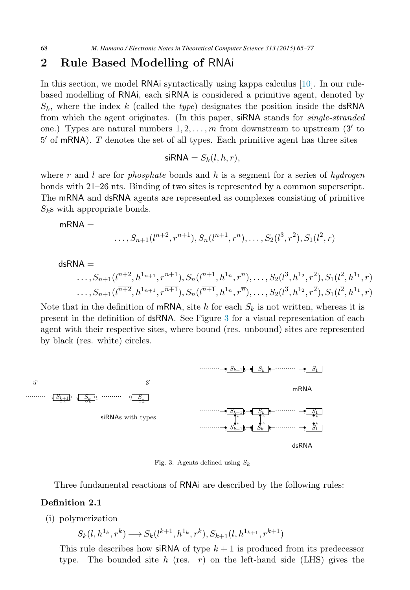### <span id="page-3-0"></span>**2 Rule Based Modelling of** RNAi

In this section, we model RNAi syntactically using kappa calculus [\[10\]](#page-11-0). In our rulebased modelling of RNAi, each siRNA is considered a primitive agent, denoted by  $S_k$ , where the index k (called the type) designates the position inside the dsRNA from which the agent originates. (In this paper, siRNA stands for *single-stranded* one.) Types are natural numbers  $1, 2, \ldots, m$  from downstream to upstream  $(3'$  to  $5'$  of mRNA).  $T$  denotes the set of all types. Each primitive agent has three sites

$$
\mathsf{siRNA} = S_k(l, h, r),
$$

where r and l are for *phosphate* bonds and h is a segment for a series of hydrogen bonds with 21–26 nts. Binding of two sites is represented by a common superscript. The mRNA and dsRNA agents are represented as complexes consisting of primitive  $S_k$ s with appropriate bonds.

$$
\mathsf{mRNA} = \dots, S_{n+1}(l^{n+2}, r^{n+1}), S_n(l^{n+1}, r^n), \dots, S_2(l^3, r^2), S_1(l^2, r)
$$

dsRNA =  
\n..., 
$$
S_{n+1}(l^{n+2}, h^{1_{n+1}}, r^{n+1}), S_n(l^{n+1}, h^{1_n}, r^n), ..., S_2(l^3, h^{1_2}, r^2), S_1(l^2, h^{1_1}, r)
$$
  
\n...,  $S_{n+1}(l^{n+2}, h^{1_{n+1}}, r^{n+1}), S_n(l^{n+1}, h^{1_n}, r^n), ..., S_2(l^3, h^{1_2}, r^2), S_1(l^2, h^{1_1}, r)$ 

Note that in the definition of mRNA, site h for each  $S_k$  is not written, whereas it is present in the definition of dsRNA. See Figure 3 for a visual representation of each agent with their respective sites, where bound (res. unbound) sites are represented by black (res. white) circles.



Fig. 3. Agents defined using  $S_k$ 

Three fundamental reactions of RNAi are described by the following rules:

#### **Definition 2.1**

(i) polymerization

 $S_k(l, h^{1_k}, r^k) \longrightarrow S_k(l^{k+1}, h^{1_k}, r^k), S_{k+1}(l, h^{1_{k+1}}, r^{k+1})$ 

This rule describes how siRNA of type  $k + 1$  is produced from its predecessor type. The bounded site h (res. r) on the left-hand side (LHS) gives the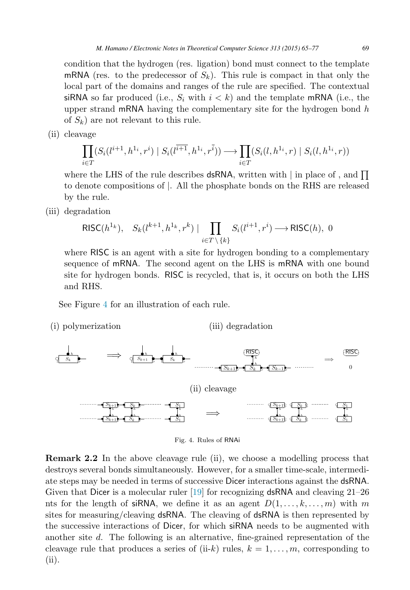<span id="page-4-0"></span>condition that the hydrogen (res. ligation) bond must connect to the template mRNA (res. to the predecessor of  $S_k$ ). This rule is compact in that only the local part of the domains and ranges of the rule are specified. The contextual siRNA so far produced (i.e.,  $S_i$  with  $i < k$ ) and the template mRNA (i.e., the upper strand mRNA having the complementary site for the hydrogen bond  $h$ of  $S_k$ ) are not relevant to this rule.

(ii) cleavage

$$
\prod_{i \in T} (S_i(l^{i+1}, h^{1_i}, r^i) \mid S_i(l^{i+1}, h^{1_i}, r^{\bar{i}})) \longrightarrow \prod_{i \in T} (S_i(l, h^{1_i}, r) \mid S_i(l, h^{1_i}, r))
$$

where the LHS of the rule describes dsRNA, written with  $\vert$  in place of, and  $\prod$ to denote compositions of |. All the phosphate bonds on the RHS are released by the rule.

(iii) degradation

$$
\mathsf{RISC}(h^{1_k}), \quad S_k(l^{k+1}, h^{1_k}, r^k) \mid \prod_{i \in T \setminus \{k\}} S_i(l^{i+1}, r^i) \longrightarrow \mathsf{RISC}(h), \; 0
$$

where RISC is an agent with a site for hydrogen bonding to a complementary sequence of mRNA. The second agent on the LHS is mRNA with one bound site for hydrogen bonds. RISC is recycled, that is, it occurs on both the LHS and RHS.

See Figure 4 for an illustration of each rule.

(i) polymerization (iii) degradation



Fig. 4. Rules of RNAi

**Remark 2.2** In the above cleavage rule (ii), we choose a modelling process that destroys several bonds simultaneously. However, for a smaller time-scale, intermediate steps may be needed in terms of successive Dicer interactions against the dsRNA. Given that Dicer is a molecular ruler [\[19\]](#page-12-0) for recognizing dsRNA and cleaving 21–26 nts for the length of siRNA, we define it as an agent  $D(1,\ldots,k,\ldots,m)$  with m sites for measuring/cleaving dsRNA. The cleaving of dsRNA is then represented by the successive interactions of Dicer, for which siRNA needs to be augmented with another site d. The following is an alternative, fine-grained representation of the cleavage rule that produces a series of (ii-k) rules,  $k = 1, \ldots, m$ , corresponding to (ii).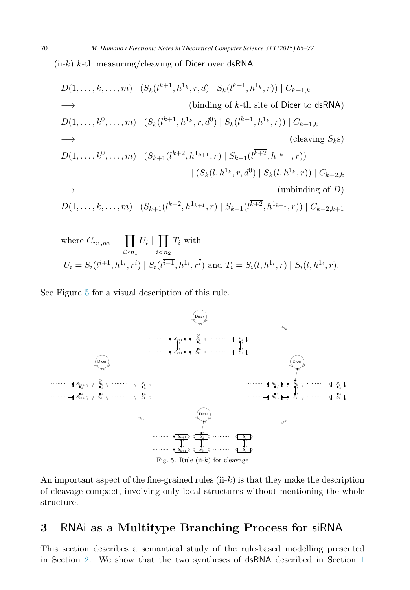$(ii-k)$  k-th measuring/cleaving of Dicer over dsRNA

$$
D(1, ..., k, ..., m) | (S_k(l^{k+1}, h^{1_k}, r, d) | S_k(l^{\overline{k+1}}, h^{1_k}, r)) | C_{k+1,k}
$$
  
\n
$$
\longrightarrow
$$
 (binding of k-th site of Dicer to dsRNA)  
\n
$$
D(1, ..., k^0, ..., m) | (S_k(l^{k+1}, h^{1_k}, r, d^0) | S_k(l^{\overline{k+1}}, h^{1_k}, r)) | C_{k+1,k}
$$
  
\n
$$
\longrightarrow
$$
 (clearing S<sub>k</sub>s)  
\n
$$
D(1, ..., k^0, ..., m) | (S_{k+1}(l^{k+2}, h^{1_{k+1}}, r) | S_{k+1}(l^{\overline{k+2}}, h^{1_{k+1}}, r))
$$
  
\n
$$
| (S_k(l, h^{1_k}, r, d^0) | S_k(l, h^{1_k}, r)) | C_{k+2,k}
$$
  
\n
$$
\longrightarrow
$$
  
\n(unbinding of D)  
\n
$$
D(1, ..., k, ..., m) | (S_{k+1}(l^{k+2}, h^{1_{k+1}}, r) | S_{k+1}(l^{\overline{k+2}}, h^{1_{k+1}}, r)) | C_{k+2,k+1}
$$

where 
$$
C_{n_1,n_2} = \prod_{i \ge n_1} U_i | \prod_{i < n_2} T_i
$$
 with  
\n
$$
U_i = S_i(l^{i+1}, h^{1_i}, r^i) | S_i(l^{i+1}, h^{1_i}, r^{\bar{i}})
$$
 and  $T_i = S_i(l, h^{1_i}, r) | S_i(l, h^{1_i}, r)$ .

See Figure 5 for a visual description of this rule.



An important aspect of the fine-grained rules  $(iik)$  is that they make the description of cleavage compact, involving only local structures without mentioning the whole structure.

### **3** RNAi **as a Multitype Branching Process for** siRNA

This section describes a semantical study of the rule-based modelling presented in Section [2.](#page-3-0) We show that the two syntheses of dsRNA described in Section [1](#page-0-0)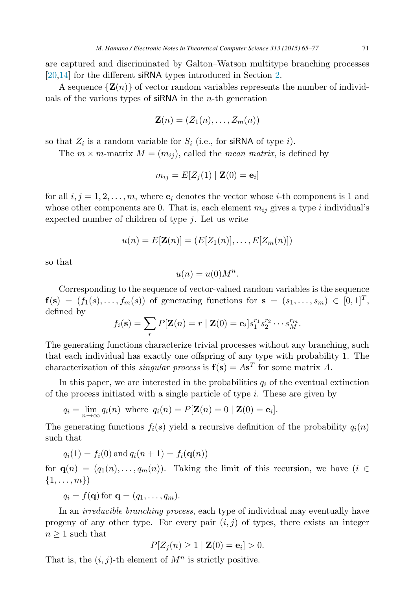are captured and discriminated by Galton–Watson multitype branching processes [\[20,](#page-12-0)[14\]](#page-11-0) for the different siRNA types introduced in Section [2.](#page-3-0)

A sequence  $\{Z(n)\}\$  of vector random variables represents the number of individuals of the various types of  $\sin N\lambda$  in the *n*-th generation

$$
\mathbf{Z}(n)=(Z_1(n),\ldots,Z_m(n))
$$

so that  $Z_i$  is a random variable for  $S_i$  (i.e., for siRNA of type i).

The  $m \times m$ -matrix  $M = (m_{ij})$ , called the *mean matrix*, is defined by

$$
m_{ij} = E[Z_j(1) | \mathbf{Z}(0) = \mathbf{e}_i]
$$

for all  $i, j = 1, 2, \ldots, m$ , where  $\mathbf{e}_i$  denotes the vector whose *i*-th component is 1 and whose other components are 0. That is, each element  $m_{ij}$  gives a type i individual's expected number of children of type  $j$ . Let us write

$$
u(n) = E[\mathbf{Z}(n)] = (E[Z_1(n)], \dots, E[Z_m(n)])
$$

so that

$$
u(n) = u(0)M^n.
$$

Corresponding to the sequence of vector-valued random variables is the sequence  $f(\mathbf{s})=(f_1(s),\ldots,f_m(s))$  of generating functions for  $\mathbf{s}=(s_1,\ldots,s_m)\in[0,1]^T$ , defined by

$$
f_i(\mathbf{s}) = \sum_r P[\mathbf{Z}(n) = r \mid \mathbf{Z}(0) = \mathbf{e}_i] s_1^{r_1} s_2^{r_2} \cdots s_M^{r_m}.
$$

The generating functions characterize trivial processes without any branching, such that each individual has exactly one offspring of any type with probability 1. The characterization of this *singular process* is  $f(s) = As<sup>T</sup>$  for some matrix A.

In this paper, we are interested in the probabilities  $q_i$  of the eventual extinction of the process initiated with a single particle of type  $i$ . These are given by

$$
q_i = \lim_{n \to \infty} q_i(n) \text{ where } q_i(n) = P[\mathbf{Z}(n) = 0 \mid \mathbf{Z}(0) = \mathbf{e}_i].
$$

The generating functions  $f_i(s)$  yield a recursive definition of the probability  $q_i(n)$ such that

$$
q_i(1) = f_i(0)
$$
 and  $q_i(n + 1) = f_i(\mathbf{q}(n))$ 

for **q**(n) = (q<sub>1</sub>(n),...,q<sub>m</sub>(n)). Taking the limit of this recursion, we have (i ∈  $\{1, \ldots, m\}$ 

$$
q_i = f(\mathbf{q}) \text{ for } \mathbf{q} = (q_1, \dots, q_m).
$$

In an irreducible branching process, each type of individual may eventually have progeny of any other type. For every pair  $(i, j)$  of types, there exists an integer  $n \geq 1$  such that

$$
P[Z_j(n) \ge 1 \mid \mathbf{Z}(0) = \mathbf{e}_i] > 0.
$$

That is, the  $(i, j)$ -th element of  $M<sup>n</sup>$  is strictly positive.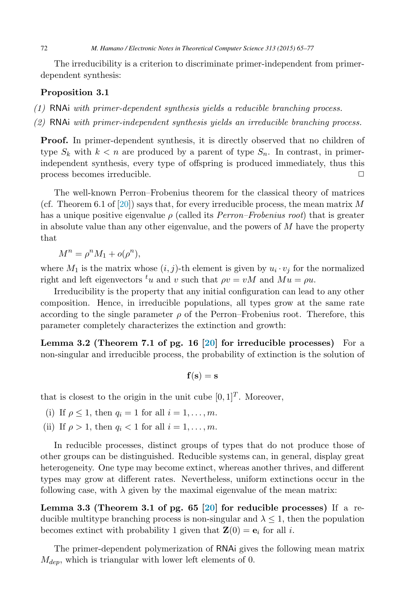<span id="page-7-0"></span>The irreducibility is a criterion to discriminate primer-independent from primerdependent synthesis:

#### **Proposition 3.1**

- (1) RNAi with primer-dependent synthesis yields a reducible branching process.
- (2) RNAi with primer-independent synthesis yields an irreducible branching process.

**Proof.** In primer-dependent synthesis, it is directly observed that no children of type  $S_k$  with  $k < n$  are produced by a parent of type  $S_n$ . In contrast, in primerindependent synthesis, every type of offspring is produced immediately, thus this process becomes irreducible.

The well-known Perron–Frobenius theorem for the classical theory of matrices (cf. Theorem 6.1 of [\[20\]](#page-12-0)) says that, for every irreducible process, the mean matrix M has a unique positive eigenvalue  $\rho$  (called its *Perron–Frobenius root*) that is greater in absolute value than any other eigenvalue, and the powers of  $M$  have the property that

 $M^{n} = \rho^{n} M_{1} + o(\rho^{n}),$ 

where  $M_1$  is the matrix whose  $(i, j)$ -th element is given by  $u_i \cdot v_j$  for the normalized right and left eigenvectors  $^tu$  and v such that  $\rho v = vM$  and  $\overline{M}u = \rho u$ .

Irreducibility is the property that any initial configuration can lead to any other composition. Hence, in irreducible populations, all types grow at the same rate according to the single parameter  $\rho$  of the Perron–Frobenius root. Therefore, this parameter completely characterizes the extinction and growth:

**Lemma 3.2 (Theorem 7.1 of pg. 16 [\[20\]](#page-12-0) for irreducible processes)** For a non-singular and irreducible process, the probability of extinction is the solution of

$$
\mathbf{f}(\mathbf{s}) = \mathbf{s}
$$

that is closest to the origin in the unit cube  $[0, 1]^T$ . Moreover,

- (i) If  $\rho \leq 1$ , then  $q_i = 1$  for all  $i = 1, \ldots, m$ .
- (ii) If  $\rho > 1$ , then  $q_i < 1$  for all  $i = 1, \ldots, m$ .

In reducible processes, distinct groups of types that do not produce those of other groups can be distinguished. Reducible systems can, in general, display great heterogeneity. One type may become extinct, whereas another thrives, and different types may grow at different rates. Nevertheless, uniform extinctions occur in the following case, with  $\lambda$  given by the maximal eigenvalue of the mean matrix:

**Lemma 3.3 (Theorem 3.1 of pg. 65 [\[20\]](#page-12-0) for reducible processes)** If a reducible multitype branching process is non-singular and  $\lambda \leq 1$ , then the population becomes extinct with probability 1 given that  $\mathbf{Z}(0) = \mathbf{e}_i$  for all *i*.

The primer-dependent polymerization of RNAi gives the following mean matrix  $M_{dep}$ , which is triangular with lower left elements of 0.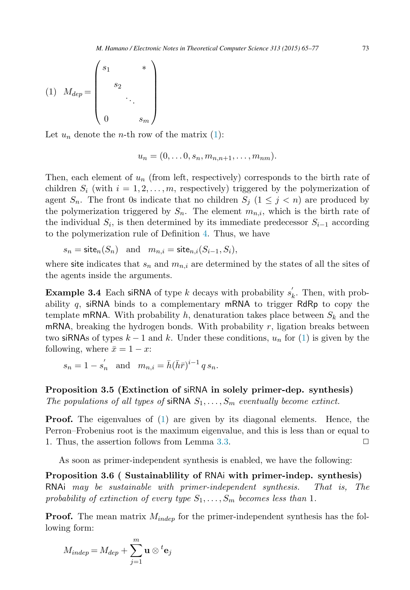<span id="page-8-0"></span>
$$
(1) \ \ M_{dep} = \begin{pmatrix} s_1 & * \\ & s_2 & \\ & & \ddots & \\ & & & s_m \end{pmatrix}
$$

Let  $u_n$  denote the *n*-th row of the matrix [\(1\)](#page-7-0):

$$
u_n=(0,\ldots 0,s_n,m_{n,n+1},\ldots,m_{nm}).
$$

Then, each element of  $u_n$  (from left, respectively) corresponds to the birth rate of children  $S_i$  (with  $i = 1, 2, \ldots, m$ , respectively) triggered by the polymerization of agent  $S_n$ . The front 0s indicate that no children  $S_j$  ( $1 \leq j \leq n$ ) are produced by the polymerization triggered by  $S_n$ . The element  $m_{n,i}$ , which is the birth rate of the individual  $S_i$ , is then determined by its immediate predecessor  $S_{i-1}$  according to the polymerization rule of Definition [4.](#page-4-0) Thus, we have

$$
s_n = \mathsf{site}_n(S_n) \quad \text{and} \quad m_{n,i} = \mathsf{site}_{n,i}(S_{i-1}, S_i),
$$

where site indicates that  $s_n$  and  $m_{n,i}$  are determined by the states of all the sites of the agents inside the arguments.

**Example 3.4** Each siRNA of type k decays with probability  $s'_k$ . Then, with probability q, siRNA binds to a complementary mRNA to trigger RdRp to copy the template mRNA. With probability h, denaturation takes place between  $S_k$  and the mRNA, breaking the hydrogen bonds. With probability  $r$ , ligation breaks between two siRNAs of types  $k-1$  and k. Under these conditions,  $u_n$  for [\(1\)](#page-7-0) is given by the following, where  $\bar{x} = 1 - x$ :

$$
s_n = 1 - s'_n
$$
 and  $m_{n,i} = \bar{h}(\bar{h}\bar{r})^{i-1} q s_n$ .

**Proposition 3.5 (Extinction of** siRNA **in solely primer-dep. synthesis)** The populations of all types of siRNA  $S_1, \ldots, S_m$  eventually become extinct.

**Proof.** The eigenvalues of [\(1\)](#page-7-0) are given by its diagonal elements. Hence, the Perron–Frobenius root is the maximum eigenvalue, and this is less than or equal to 1. Thus, the assertion follows from Lemma [3.3.](#page-7-0)  $\square$ 

As soon as primer-independent synthesis is enabled, we have the following:

**Proposition 3.6 ( Sustainablility of** RNAi **with primer-indep. synthesis)** RNAi may be sustainable with primer-independent synthesis. That is, The probability of extinction of every type  $S_1, \ldots, S_m$  becomes less than 1.

**Proof.** The mean matrix  $M_{indep}$  for the primer-independent synthesis has the following form:

$$
M_{indep} = M_{dep} + \sum_{j=1}^{m} \mathbf{u} \otimes {}^{t} \mathbf{e}_j
$$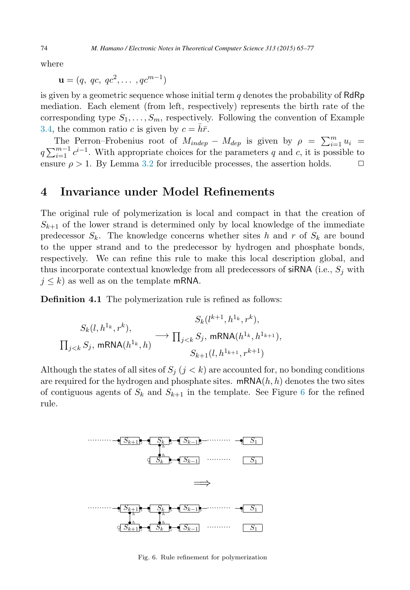<span id="page-9-0"></span>where

 $\mathbf{u} = (q, qc, qc^2, \dots, qc^{m-1})$ 

is given by a geometric sequence whose initial term  $q$  denotes the probability of  $RdRp$ mediation. Each element (from left, respectively) represents the birth rate of the corresponding type  $S_1, \ldots, S_m$ , respectively. Following the convention of Example [3.4,](#page-8-0) the common ratio c is given by  $c = \bar{h}\bar{r}$ .

The Perron–Frobenius root of  $M_{indep} - M_{dep}$  is given by  $\rho = \sum_{i=1}^{m} u_i =$  $q \sum_{i=1}^{m-1} c^{i-1}$ . With appropriate choices for the parameters q and c, it is possible to ensure  $\rho > 1$ . By Lemma [3.2](#page-7-0) for irreducible processes, the assertion holds.  $\Box$ 

### **4 Invariance under Model Refinements**

The original rule of polymerization is local and compact in that the creation of  $S_{k+1}$  of the lower strand is determined only by local knowledge of the immediate predecessor  $S_k$ . The knowledge concerns whether sites h and r of  $S_k$  are bound to the upper strand and to the predecessor by hydrogen and phosphate bonds, respectively. We can refine this rule to make this local description global, and thus incorporate contextual knowledge from all predecessors of siRNA (i.e.,  $S_j$  with  $j \leq k$ ) as well as on the template mRNA.

**Definition 4.1** The polymerization rule is refined as follows:

$$
S_k(l, h^{1_k}, r^k),
$$
  
\n
$$
\Pi_{j < k} S_j, \text{ mRNA}(h^{1_k}, h) \longrightarrow \Pi_{j < k} S_j, \text{ mRNA}(h^{1_k}, h^{1_{k+1}}),
$$
  
\n
$$
S_{k+1}(l, h^{1_{k+1}}, r^{k+1})
$$

Although the states of all sites of  $S_i$  ( $j < k$ ) are accounted for, no bonding conditions are required for the hydrogen and phosphate sites.  $\text{mRNA}(h, h)$  denotes the two sites of contiguous agents of  $S_k$  and  $S_{k+1}$  in the template. See Figure 6 for the refined rule.



Fig. 6. Rule refinement for polymerization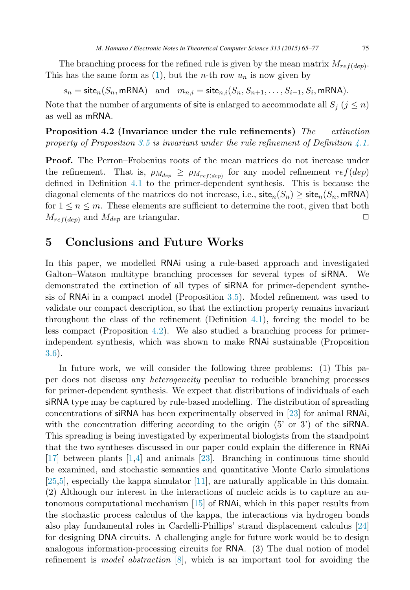The branching process for the refined rule is given by the mean matrix  $M_{ref(dep)}$ . This has the same form as  $(1)$ , but the *n*-th row  $u_n$  is now given by

 $s_n = \text{site}_n(S_n, \text{mRNA})$  and  $m_{n,i} = \text{site}_{n,i}(S_n, S_{n+1}, \ldots, S_{i-1}, S_i, \text{mRNA}).$ Note that the number of arguments of site is enlarged to accommodate all  $S_i$   $(j \leq n)$ as well as mRNA.

**Proposition 4.2 (Invariance under the rule refinements)** The extinction property of Proposition [3.5](#page-8-0) is invariant under the rule refinement of Definition [4.1.](#page-9-0)

**Proof.** The Perron–Frobenius roots of the mean matrices do not increase under the refinement. That is,  $\rho_{M_{dep}} \ge \rho_{M_{ref}(dep)}$  for any model refinement  $ref(dep)$ defined in Definition [4.1](#page-9-0) to the primer-dependent synthesis. This is because the diagonal elements of the matrices do not increase, i.e.,  $\text{site}_n(S_n) \geq \text{site}_n(S_n, \text{mRNA})$ for  $1 \le n \le m$ . These elements are sufficient to determine the root, given that both  $M_{net}(t_{cm})$  and  $M_{den}$  are triangular.  $M_{ref(dep)}$  and  $M_{dep}$  are triangular.

### **5 Conclusions and Future Works**

In this paper, we modelled RNAi using a rule-based approach and investigated Galton–Watson multitype branching processes for several types of siRNA. We demonstrated the extinction of all types of siRNA for primer-dependent synthesis of RNAi in a compact model (Proposition [3.5\)](#page-8-0). Model refinement was used to validate our compact description, so that the extinction property remains invariant throughout the class of the refinement (Definition [4.1\)](#page-9-0), forcing the model to be less compact (Proposition 4.2). We also studied a branching process for primerindependent synthesis, which was shown to make RNAi sustainable (Proposition [3.6\)](#page-8-0).

In future work, we will consider the following three problems: (1) This paper does not discuss any heterogeneity peculiar to reducible branching processes for primer-dependent synthesis. We expect that distributions of individuals of each siRNA type may be captured by rule-based modelling. The distribution of spreading concentrations of siRNA has been experimentally observed in [\[23\]](#page-12-0) for animal RNAi, with the concentration differing according to the origin  $(5' \text{ or } 3')$  of the siRNA. This spreading is being investigated by experimental biologists from the standpoint that the two syntheses discussed in our paper could explain the difference in RNAi [\[17\]](#page-12-0) between plants [\[1,4\]](#page-11-0) and animals [\[23\]](#page-12-0). Branching in continuous time should be examined, and stochastic semantics and quantitative Monte Carlo simulations  $[25,5]$  $[25,5]$ , especially the kappa simulator  $[11]$ , are naturally applicable in this domain. (2) Although our interest in the interactions of nucleic acids is to capture an autonomous computational mechanism [\[15\]](#page-11-0) of RNAi, which in this paper results from the stochastic process calculus of the kappa, the interactions via hydrogen bonds also play fundamental roles in Cardelli-Phillips' strand displacement calculus [\[24\]](#page-12-0) for designing DNA circuits. A challenging angle for future work would be to design analogous information-processing circuits for RNA. (3) The dual notion of model refinement is *model abstraction*  $[8]$ , which is an important tool for avoiding the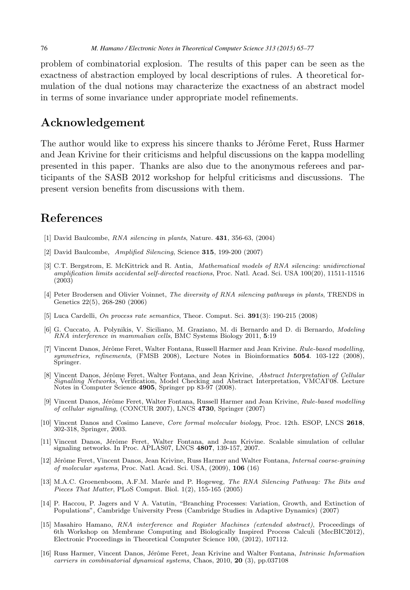<span id="page-11-0"></span>problem of combinatorial explosion. The results of this paper can be seen as the exactness of abstraction employed by local descriptions of rules. A theoretical formulation of the dual notions may characterize the exactness of an abstract model in terms of some invariance under appropriate model refinements.

## **Acknowledgement**

The author would like to express his sincere thanks to Jérôme Feret, Russ Harmer and Jean Krivine for their criticisms and helpful discussions on the kappa modelling presented in this paper. Thanks are also due to the anonymous referees and participants of the SASB 2012 workshop for helpful criticisms and discussions. The present version benefits from discussions with them.

## **References**

- [1] David Baulcombe, RNA silencing in plants, Nature. **431**, 356-63, (2004)
- [2] David Baulcombe, Amplified Silencing, Science **315**, 199-200 (2007)
- [3] C.T. Bergstrom, E. McKittrick and R. Antia, Mathematical models of RNA silencing: unidirectional amplification limits accidental self-directed reactions, Proc. Natl. Acad. Sci. USA 100(20), 11511-11516 (2003)
- [4] Peter Brodersen and Olivier Voinnet, The diversity of RNA silencing pathways in plants, TRENDS in Genetics 22(5), 268-280 (2006)
- [5] Luca Cardelli, On process rate semantics, Theor. Comput. Sci. **391**(3): 190-215 (2008)
- [6] G. Cuccato, A. Polynikis, V. Siciliano, M. Graziano, M. di Bernardo and D. di Bernardo, Modeling RNA interference in mammalian cells, BMC Systems Biology 2011, **5**:19
- [7] Vincent Danos, Jérôme Feret, Walter Fontana, Russell Harmer and Jean Krivine. Rule-based modelling, symmetries, refinements, (FMSB 2008), Lecture Notes in Bioinformatics **<sup>5054</sup>**. 103-122 (2008), Springer.
- [8] Vincent Danos, Jérôme Feret, Walter Fontana, and Jean Krivine, Abstract Interpretation of Cellular Signalling Networks, Verification, Model Checking and Abstract Interpretation, VMCAI'08. Lecture Notes in Computer Science **4905**, Springer pp 83-97 (2008).
- [9] Vincent Danos, Jérôme Feret, Walter Fontana, Russell Harmer and Jean Krivine, Rule-based modelling of cellular signalling, (CONCUR 2007), LNCS **4730**, Springer (2007)
- [10] Vincent Danos and Cosimo Laneve, Core formal molecular biology, Proc. 12th. ESOP, LNCS **<sup>2618</sup>**, 302-318, Springer, 2003.
- [11] Vincent Danos, Jérôme Feret, Walter Fontana, and Jean Krivine. Scalable simulation of cellular signaling networks. In Proc. APLAS07, LNCS **4807**, 139-157, 2007.
- [12] Jérôme Feret, Vincent Danos, Jean Krivine, Russ Harmer and Walter Fontana, *Internal coarse-graining* of molecular systems, Proc. Natl. Acad. Sci. USA, (2009), **106** (16)
- [13] M.A.C. Groenenboom, A.F.M. Marée and P. Hogeweg, The RNA Silencing Pathway: The Bits and Pieces That Matter, PLoS Comput. Biol. 1(2), 155-165 (2005)
- [14] P. Haccou, P. Jagers and V A. Vatutin, "Branching Processes: Variation, Growth, and Extinction of Populations", Cambridge University Press (Cambridge Studies in Adaptive Dynamics) (2007)
- [15] Masahiro Hamano, RNA interference and Register Machines (extended abstract), Proceedings of 6th Workshop on Membrane Computing and Biologically Inspired Process Calculi (MecBIC2012), Electronic Proceedings in Theoretical Computer Science 100, (2012), 107112.
- [16] Russ Harmer, Vincent Danos, Jérôme Feret, Jean Krivine and Walter Fontana, *Intrinsic Information* carriers in combinatorial dynamical systems, Chaos, 2010, **20** (3), pp.037108